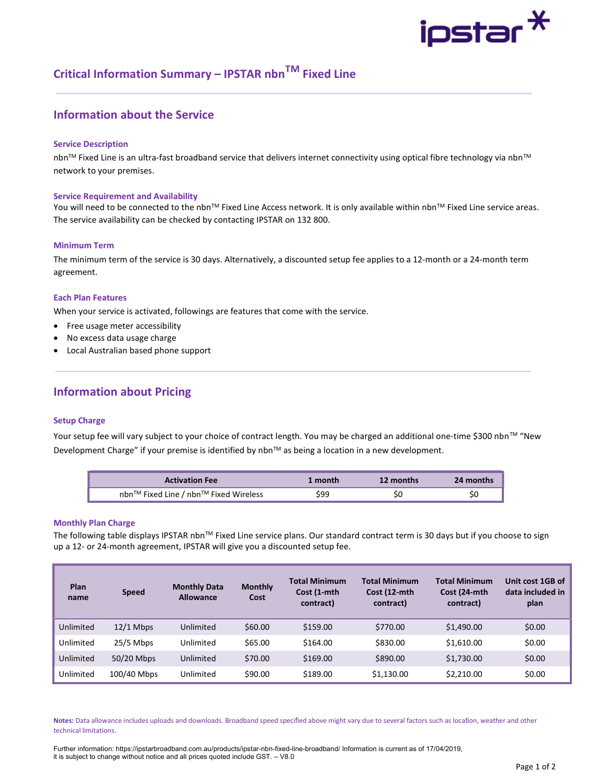# ipstar $^{\textstyle{*}}$

## Critical Information Summary – IPSTAR nbn<sup>TM</sup> Fixed Line

## Information about the Service

#### Service Description

nbn™ Fixed Line is an ultra-fast broadband service that delivers internet connectivity using optical fibre technology via nbn™ network to your premises.

#### Service Requirement and Availability

You will need to be connected to the nbn™ Fixed Line Access network. It is only available within nbn™ Fixed Line service areas. The service availability can be checked by contacting IPSTAR on 132 800.

#### Minimum Term

The minimum term of the service is 30 days. Alternatively, a discounted setup fee applies to a 12-month or a 24-month term agreement.

#### Each Plan Features

When your service is activated, followings are features that come with the service.

- Free usage meter accessibility
- No excess data usage charge
- Local Australian based phone support

## Information about Pricing

#### Setup Charge

Your setup fee will vary subject to your choice of contract length. You may be charged an additional one-time \$300 nbn™ "New Development Charge" if your premise is identified by nbn™ as being a location in a new development.

| <b>Activation Fee</b>                 | 1 month | 12 months | 24 months |
|---------------------------------------|---------|-----------|-----------|
| nbn™ Fixed Line / nbn™ Fixed Wireless | \$99    | S0        |           |

#### Monthly Plan Charge

The following table displays IPSTAR nbn™ Fixed Line service plans. Our standard contract term is 30 days but if you choose to sign up a 12- or 24-month agreement, IPSTAR will give you a discounted setup fee.

| Plan<br>name | <b>Speed</b> | <b>Monthly Data</b><br><b>Allowance</b> | <b>Monthly</b><br>Cost | <b>Total Minimum</b><br>Cost (1-mth<br>contract) | <b>Total Minimum</b><br>Cost (12-mth<br>contract) | <b>Total Minimum</b><br>Cost (24-mth<br>contract) | Unit cost 1GB of<br>data included in<br>plan |
|--------------|--------------|-----------------------------------------|------------------------|--------------------------------------------------|---------------------------------------------------|---------------------------------------------------|----------------------------------------------|
| Unlimited    | $12/1$ Mbps  | Unlimited                               | \$60.00                | \$159.00                                         | \$770.00                                          | \$1,490.00                                        | \$0.00                                       |
| Unlimited    | $25/5$ Mbps  | Unlimited                               | \$65.00                | \$164.00                                         | \$830.00                                          | \$1,610.00                                        | \$0.00                                       |
| Unlimited    | 50/20 Mbps   | Unlimited                               | \$70.00                | \$169.00                                         | \$890.00                                          | \$1,730.00                                        | \$0.00                                       |
| Unlimited    | 100/40 Mbps  | Unlimited                               | \$90.00                | \$189.00                                         | \$1,130.00                                        | \$2,210.00                                        | \$0.00                                       |

Notes: Data allowance includes uploads and downloads. Broadband speed specified above might vary due to several factors such as location, weather and other technical limitations.

Further information: https://ipstarbroadband.com.au/products/ipstar-nbn-fixed-line-broadband/ Information is current as of 17/04/2019, it is subject to change without notice and all prices quoted include GST. – V8.0